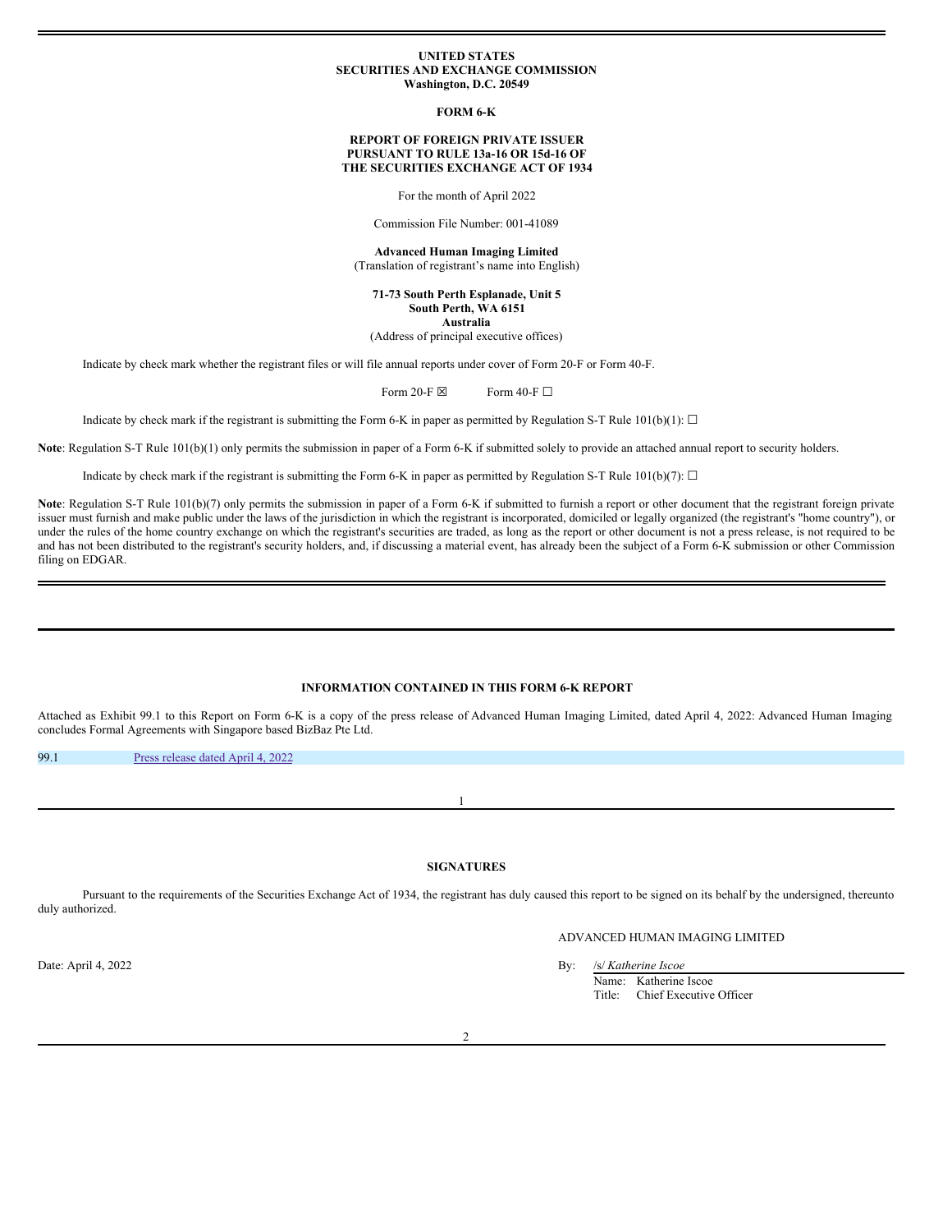### **UNITED STATES SECURITIES AND EXCHANGE COMMISSION Washington, D.C. 20549**

**FORM 6-K**

### **REPORT OF FOREIGN PRIVATE ISSUER PURSUANT TO RULE 13a-16 OR 15d-16 OF THE SECURITIES EXCHANGE ACT OF 1934**

For the month of April 2022

Commission File Number: 001-41089

**Advanced Human Imaging Limited** (Translation of registrant's name into English)

**71-73 South Perth Esplanade, Unit 5 South Perth, WA 6151 Australia**

(Address of principal executive offices)

Indicate by check mark whether the registrant files or will file annual reports under cover of Form 20-F or Form 40-F.

Form 20-F  $\boxtimes$  Form 40-F  $\Box$ 

Indicate by check mark if the registrant is submitting the Form 6-K in paper as permitted by Regulation S-T Rule 101(b)(1):  $\Box$ 

**Note**: Regulation S-T Rule 101(b)(1) only permits the submission in paper of a Form 6-K if submitted solely to provide an attached annual report to security holders.

Indicate by check mark if the registrant is submitting the Form 6-K in paper as permitted by Regulation S-T Rule 101(b)(7):  $\Box$ 

Note: Regulation S-T Rule 101(b)(7) only permits the submission in paper of a Form 6-K if submitted to furnish a report or other document that the registrant foreign private issuer must furnish and make public under the laws of the jurisdiction in which the registrant is incorporated, domiciled or legally organized (the registrant's "home country"), or under the rules of the home country exchange on which the registrant's securities are traded, as long as the report or other document is not a press release, is not required to be and has not been distributed to the registrant's security holders, and, if discussing a material event, has already been the subject of a Form 6-K submission or other Commission filing on EDGAR.

## **INFORMATION CONTAINED IN THIS FORM 6-K REPORT**

Attached as Exhibit 99.1 to this Report on Form 6-K is a copy of the press release of Advanced Human Imaging Limited, dated April 4, 2022: Advanced Human Imaging concludes Formal Agreements with Singapore based BizBaz Pte Ltd.

99.1 Press [release](#page-1-0) dated April 4, 2022

# **SIGNATURES**

1

Pursuant to the requirements of the Securities Exchange Act of 1934, the registrant has duly caused this report to be signed on its behalf by the undersigned, thereunto duly authorized.

# ADVANCED HUMAN IMAGING LIMITED

Date: April 4, 2022 By: /s/ *Katherine Iscoe* Name: Katherine Iscoe Title: Chief Executive Officer